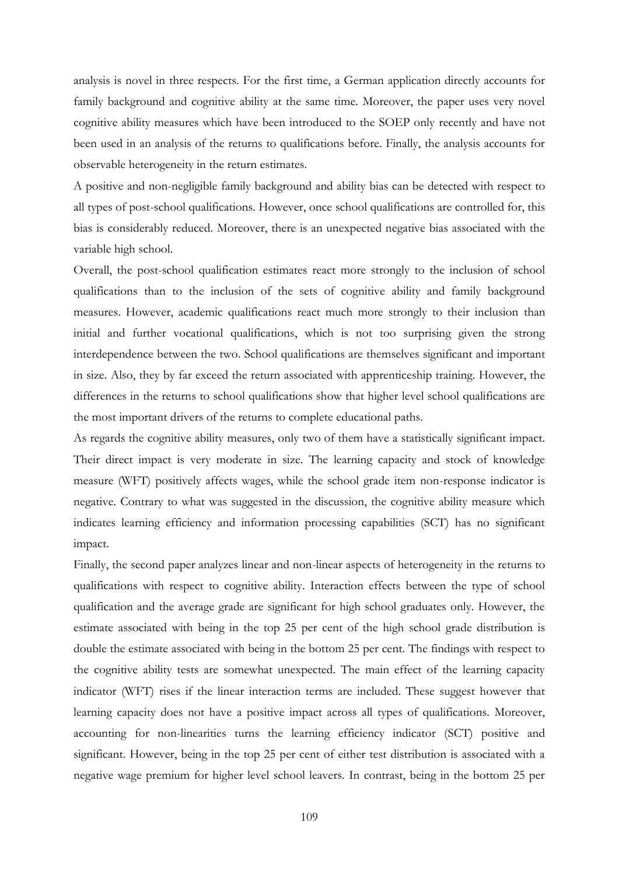analysis is novel in three respects. For the first time, a German application directly accounts for family background and cognitive ability at the same time. Moreover, the paper uses very novel cognitive ability measures which have been introduced to the SOEP only recently and have not been used in an analysis of the returns to qualifications before. Finally, the analysis accounts for observable heterogeneity in the return estimates.

A positive and non-negligible family background and ability bias can be detected with respect to all types of post-school qualifications. However, once school qualifications are controlled for, this bias is considerably reduced. Moreover, there is an unexpected negative bias associated with the variable high school.

Overall, the post-school qualification estimates react more strongly to the inclusion of school qualifications than to the inclusion of the sets of cognitive ability and family background measures. However, academic qualifications react much more strongly to their inclusion than initial and further vocational qualifications, which is not too surprising given the strong interdependence between the two. School qualifications are themselves significant and important in size. Also, they by far exceed the return associated with apprenticeship training. However, the differences in the returns to school qualifications show that higher level school qualifications are the most important drivers of the returns to complete educational paths.

As regards the cognitive ability measures, only two of them have a statistically significant impact. Their direct impact is very moderate in size. The learning capacity and stock of knowledge measure (WFT) positively affects wages, while the school grade item non-response indicator is negative. Contrary to what was suggested in the discussion, the cognitive ability measure which indicates learning efficiency and information processing capabilities (SCT) has no significant impact.

Finally, the second paper analyzes linear and non-linear aspects of heterogeneity in the returns to qualifications with respect to cognitive ability. Interaction effects between the type of school qualification and the average grade are significant for high school graduates only. However, the estimate associated with being in the top 25 per cent of the high school grade distribution is double the estimate associated with being in the bottom 25 per cent. The findings with respect to the cognitive ability tests are somewhat unexpected. The main effect of the learning capacity indicator (WFT) rises if the linear interaction terms are included. These suggest however that learning capacity does not have a positive impact across all types of qualifications. Moreover, accounting for non-linearities turns the learning efficiency indicator (SCT) positive and significant. However, being in the top 25 per cent of either test distribution is associated with a negative wage premium for higher level school leavers. In contrast, being in the bottom 25 per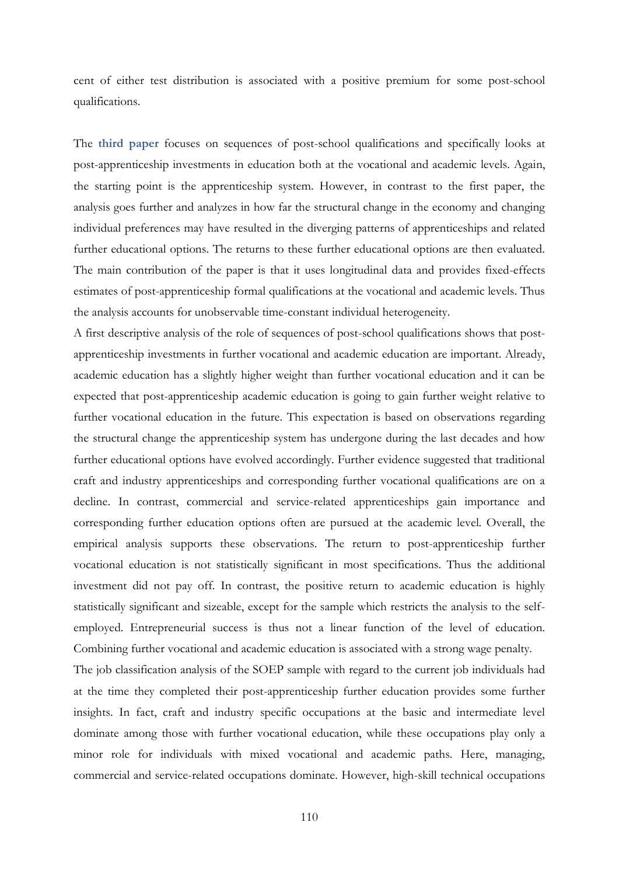cent of either test distribution is associated with a positive premium for some post-school qualifications.

The **third paper** focuses on sequences of post-school qualifications and specifically looks at post-apprenticeship investments in education both at the vocational and academic levels. Again, the starting point is the apprenticeship system. However, in contrast to the first paper, the analysis goes further and analyzes in how far the structural change in the economy and changing individual preferences may have resulted in the diverging patterns of apprenticeships and related further educational options. The returns to these further educational options are then evaluated. The main contribution of the paper is that it uses longitudinal data and provides fixed-effects estimates of post-apprenticeship formal qualifications at the vocational and academic levels. Thus the analysis accounts for unobservable time-constant individual heterogeneity.

A first descriptive analysis of the role of sequences of post-school qualifications shows that postapprenticeship investments in further vocational and academic education are important. Already, academic education has a slightly higher weight than further vocational education and it can be expected that post-apprenticeship academic education is going to gain further weight relative to further vocational education in the future. This expectation is based on observations regarding the structural change the apprenticeship system has undergone during the last decades and how further educational options have evolved accordingly. Further evidence suggested that traditional craft and industry apprenticeships and corresponding further vocational qualifications are on a decline. In contrast, commercial and service-related apprenticeships gain importance and corresponding further education options often are pursued at the academic level. Overall, the empirical analysis supports these observations. The return to post-apprenticeship further vocational education is not statistically significant in most specifications. Thus the additional investment did not pay off. In contrast, the positive return to academic education is highly statistically significant and sizeable, except for the sample which restricts the analysis to the selfemployed. Entrepreneurial success is thus not a linear function of the level of education. Combining further vocational and academic education is associated with a strong wage penalty.

The job classification analysis of the SOEP sample with regard to the current job individuals had at the time they completed their post-apprenticeship further education provides some further insights. In fact, craft and industry specific occupations at the basic and intermediate level dominate among those with further vocational education, while these occupations play only a minor role for individuals with mixed vocational and academic paths. Here, managing, commercial and service-related occupations dominate. However, high-skill technical occupations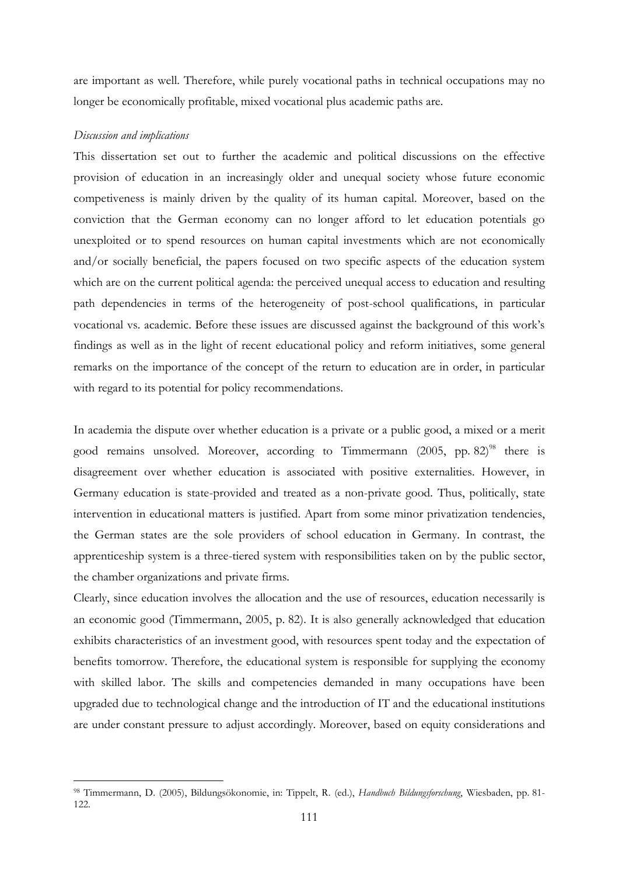are important as well. Therefore, while purely vocational paths in technical occupations may no longer be economically profitable, mixed vocational plus academic paths are.

## *Discussion and implications*

-

This dissertation set out to further the academic and political discussions on the effective provision of education in an increasingly older and unequal society whose future economic competiveness is mainly driven by the quality of its human capital. Moreover, based on the conviction that the German economy can no longer afford to let education potentials go unexploited or to spend resources on human capital investments which are not economically and/or socially beneficial, the papers focused on two specific aspects of the education system which are on the current political agenda: the perceived unequal access to education and resulting path dependencies in terms of the heterogeneity of post-school qualifications, in particular vocational vs. academic. Before these issues are discussed against the background of this work"s findings as well as in the light of recent educational policy and reform initiatives, some general remarks on the importance of the concept of the return to education are in order, in particular with regard to its potential for policy recommendations.

In academia the dispute over whether education is a private or a public good, a mixed or a merit good remains unsolved. Moreover, according to Timmermann (2005, pp. 82)<sup>98</sup> there is disagreement over whether education is associated with positive externalities. However, in Germany education is state-provided and treated as a non-private good. Thus, politically, state intervention in educational matters is justified. Apart from some minor privatization tendencies, the German states are the sole providers of school education in Germany. In contrast, the apprenticeship system is a three-tiered system with responsibilities taken on by the public sector, the chamber organizations and private firms.

Clearly, since education involves the allocation and the use of resources, education necessarily is an economic good (Timmermann, 2005, p. 82). It is also generally acknowledged that education exhibits characteristics of an investment good, with resources spent today and the expectation of benefits tomorrow. Therefore, the educational system is responsible for supplying the economy with skilled labor. The skills and competencies demanded in many occupations have been upgraded due to technological change and the introduction of IT and the educational institutions are under constant pressure to adjust accordingly. Moreover, based on equity considerations and

<sup>98</sup> Timmermann, D. (2005), Bildungsökonomie, in: Tippelt, R. (ed.), *Handbuch Bildungsforschung*, Wiesbaden, pp. 81- 122.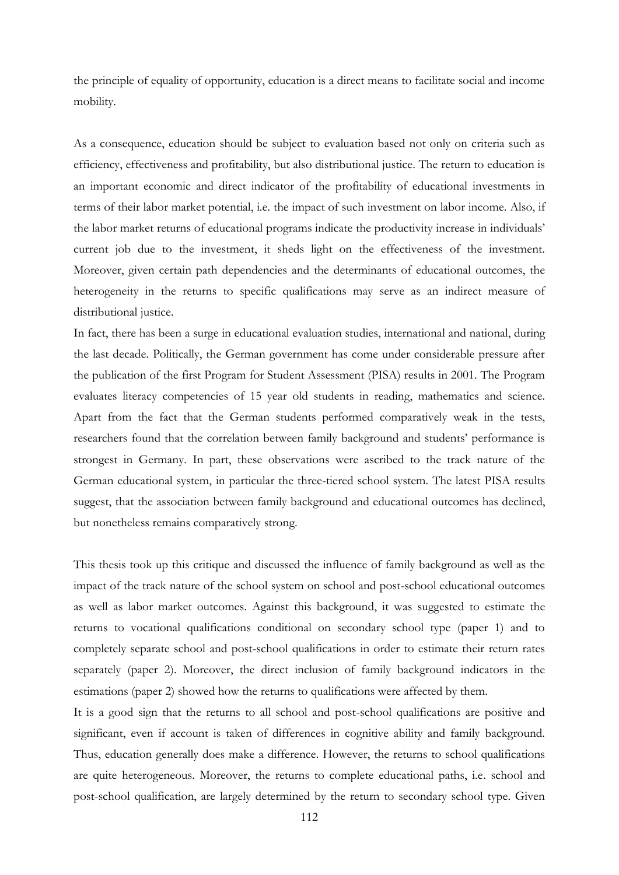the principle of equality of opportunity, education is a direct means to facilitate social and income mobility.

As a consequence, education should be subject to evaluation based not only on criteria such as efficiency, effectiveness and profitability, but also distributional justice. The return to education is an important economic and direct indicator of the profitability of educational investments in terms of their labor market potential, i.e. the impact of such investment on labor income. Also, if the labor market returns of educational programs indicate the productivity increase in individuals" current job due to the investment, it sheds light on the effectiveness of the investment. Moreover, given certain path dependencies and the determinants of educational outcomes, the heterogeneity in the returns to specific qualifications may serve as an indirect measure of distributional justice.

In fact, there has been a surge in educational evaluation studies, international and national, during the last decade. Politically, the German government has come under considerable pressure after the publication of the first Program for Student Assessment (PISA) results in 2001. The Program evaluates literacy competencies of 15 year old students in reading, mathematics and science. Apart from the fact that the German students performed comparatively weak in the tests, researchers found that the correlation between family background and students" performance is strongest in Germany. In part, these observations were ascribed to the track nature of the German educational system, in particular the three-tiered school system. The latest PISA results suggest, that the association between family background and educational outcomes has declined, but nonetheless remains comparatively strong.

This thesis took up this critique and discussed the influence of family background as well as the impact of the track nature of the school system on school and post-school educational outcomes as well as labor market outcomes. Against this background, it was suggested to estimate the returns to vocational qualifications conditional on secondary school type (paper 1) and to completely separate school and post-school qualifications in order to estimate their return rates separately (paper 2). Moreover, the direct inclusion of family background indicators in the estimations (paper 2) showed how the returns to qualifications were affected by them.

It is a good sign that the returns to all school and post-school qualifications are positive and significant, even if account is taken of differences in cognitive ability and family background. Thus, education generally does make a difference. However, the returns to school qualifications are quite heterogeneous. Moreover, the returns to complete educational paths, i.e. school and post-school qualification, are largely determined by the return to secondary school type. Given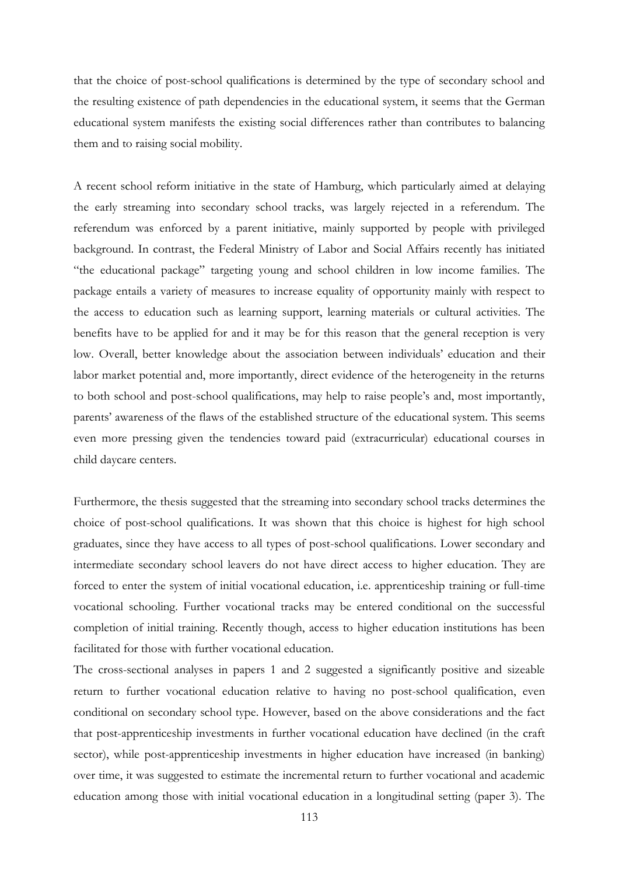that the choice of post-school qualifications is determined by the type of secondary school and the resulting existence of path dependencies in the educational system, it seems that the German educational system manifests the existing social differences rather than contributes to balancing them and to raising social mobility.

A recent school reform initiative in the state of Hamburg, which particularly aimed at delaying the early streaming into secondary school tracks, was largely rejected in a referendum. The referendum was enforced by a parent initiative, mainly supported by people with privileged background. In contrast, the Federal Ministry of Labor and Social Affairs recently has initiated "the educational package" targeting young and school children in low income families. The package entails a variety of measures to increase equality of opportunity mainly with respect to the access to education such as learning support, learning materials or cultural activities. The benefits have to be applied for and it may be for this reason that the general reception is very low. Overall, better knowledge about the association between individuals" education and their labor market potential and, more importantly, direct evidence of the heterogeneity in the returns to both school and post-school qualifications, may help to raise people"s and, most importantly, parents" awareness of the flaws of the established structure of the educational system. This seems even more pressing given the tendencies toward paid (extracurricular) educational courses in child daycare centers.

Furthermore, the thesis suggested that the streaming into secondary school tracks determines the choice of post-school qualifications. It was shown that this choice is highest for high school graduates, since they have access to all types of post-school qualifications. Lower secondary and intermediate secondary school leavers do not have direct access to higher education. They are forced to enter the system of initial vocational education, i.e. apprenticeship training or full-time vocational schooling. Further vocational tracks may be entered conditional on the successful completion of initial training. Recently though, access to higher education institutions has been facilitated for those with further vocational education.

The cross-sectional analyses in papers 1 and 2 suggested a significantly positive and sizeable return to further vocational education relative to having no post-school qualification, even conditional on secondary school type. However, based on the above considerations and the fact that post-apprenticeship investments in further vocational education have declined (in the craft sector), while post-apprenticeship investments in higher education have increased (in banking) over time, it was suggested to estimate the incremental return to further vocational and academic education among those with initial vocational education in a longitudinal setting (paper 3). The